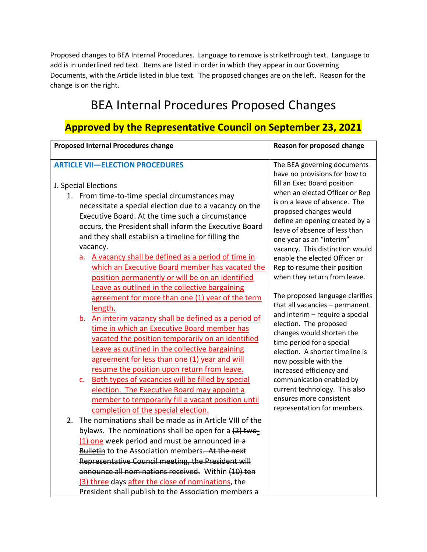Proposed changes to BEA Internal Procedures. Language to remove is strikethrough text. Language to add is in underlined red text. Items are listed in order in which they appear in our Governing Documents, with the Article listed in blue text. The proposed changes are on the left. Reason for the change is on the right.

## BEA Internal Procedures Proposed Changes

## **Approved by the Representative Council on September 23, 2021**

| <b>Proposed Internal Procedures change</b>                                                           | Reason for proposed change                                   |
|------------------------------------------------------------------------------------------------------|--------------------------------------------------------------|
| <b>ARTICLE VII-ELECTION PROCEDURES</b>                                                               | The BEA governing documents                                  |
| J. Special Elections                                                                                 | have no provisions for how to<br>fill an Exec Board position |
| 1. From time-to-time special circumstances may                                                       | when an elected Officer or Rep                               |
| necessitate a special election due to a vacancy on the                                               | is on a leave of absence. The                                |
| Executive Board. At the time such a circumstance                                                     | proposed changes would<br>define an opening created by a     |
| occurs, the President shall inform the Executive Board                                               | leave of absence of less than                                |
| and they shall establish a timeline for filling the                                                  | one year as an "interim"                                     |
| vacancy.                                                                                             | vacancy. This distinction would                              |
| a. A vacancy shall be defined as a period of time in                                                 | enable the elected Officer or                                |
| which an Executive Board member has vacated the                                                      | Rep to resume their position                                 |
| position permanently or will be on an identified                                                     | when they return from leave.                                 |
| Leave as outlined in the collective bargaining<br>agreement for more than one (1) year of the term   | The proposed language clarifies                              |
| length.                                                                                              | that all vacancies - permanent                               |
| b. An interim vacancy shall be defined as a period of                                                | and interim - require a special                              |
| time in which an Executive Board member has                                                          | election. The proposed                                       |
| vacated the position temporarily on an identified                                                    | changes would shorten the<br>time period for a special       |
| Leave as outlined in the collective bargaining                                                       | election. A shorter timeline is                              |
| agreement for less than one (1) year and will                                                        | now possible with the                                        |
| resume the position upon return from leave.                                                          | increased efficiency and                                     |
| c. Both types of vacancies will be filled by special                                                 | communication enabled by                                     |
| election. The Executive Board may appoint a                                                          | current technology. This also<br>ensures more consistent     |
| member to temporarily fill a vacant position until                                                   | representation for members.                                  |
| completion of the special election.<br>The nominations shall be made as in Article VIII of the<br>2. |                                                              |
| bylaws. The nominations shall be open for a (2) two-                                                 |                                                              |
| (1) one week period and must be announced in a                                                       |                                                              |
| <b>Bulletin</b> to the Association members. At the next                                              |                                                              |
| Representative Council meeting, the President will                                                   |                                                              |
| announce all nominations received. Within (10) ten                                                   |                                                              |
| (3) three days after the close of nominations, the                                                   |                                                              |
| President shall publish to the Association members a                                                 |                                                              |